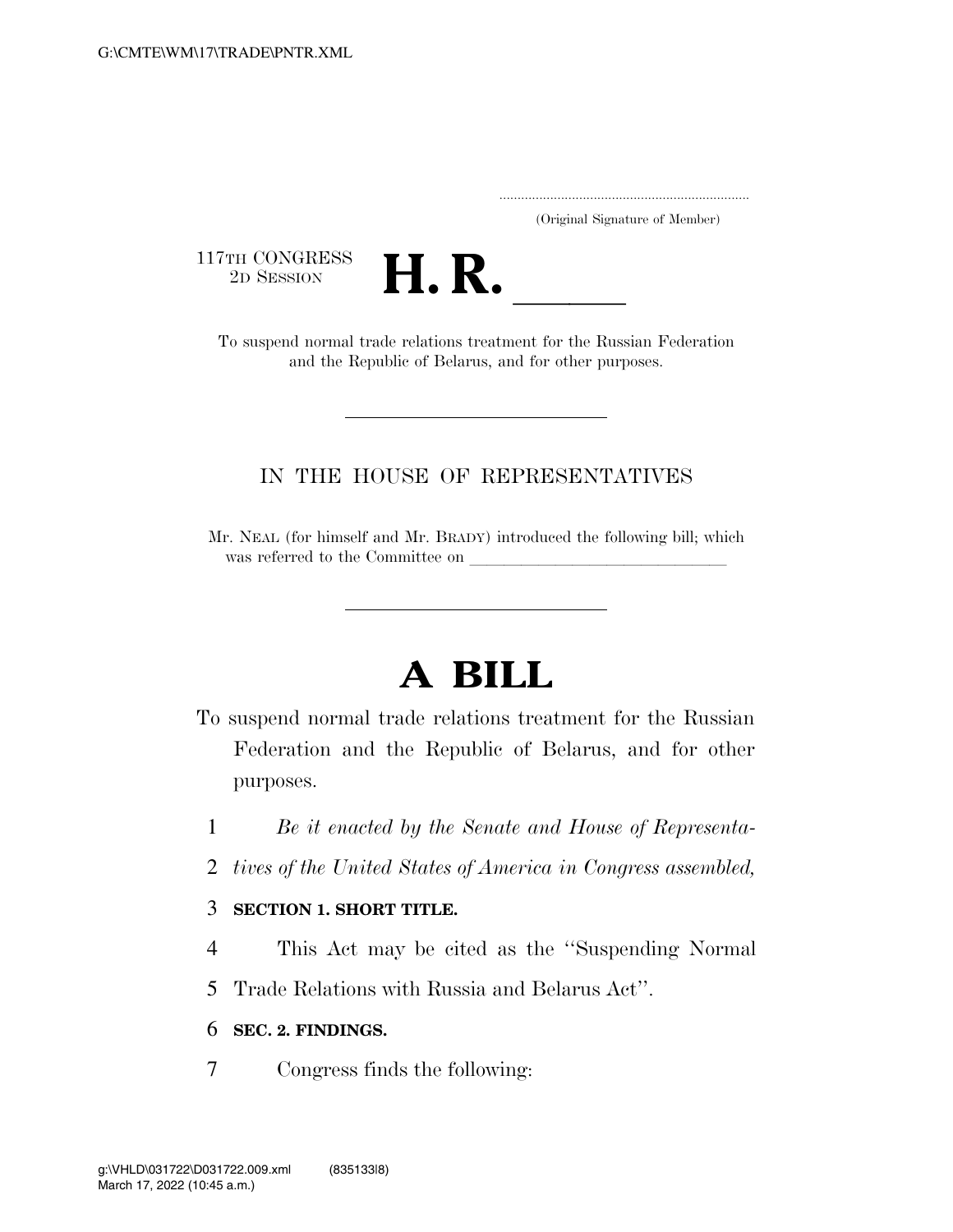..................................................................... (Original Signature of Member)

117TH CONGRESS<br>2D SESSION



TTH CONGRESS<br>
2D SESSION<br>
To suspend normal trade relations treatment for the Russian Federation and the Republic of Belarus, and for other purposes.

## IN THE HOUSE OF REPRESENTATIVES

Mr. NEAL (for himself and Mr. BRADY) introduced the following bill; which was referred to the Committee on

# **A BILL**

- To suspend normal trade relations treatment for the Russian Federation and the Republic of Belarus, and for other purposes.
	- 1 *Be it enacted by the Senate and House of Representa-*
	- 2 *tives of the United States of America in Congress assembled,*

### 3 **SECTION 1. SHORT TITLE.**

- 4 This Act may be cited as the ''Suspending Normal
- 5 Trade Relations with Russia and Belarus Act''.

### 6 **SEC. 2. FINDINGS.**

7 Congress finds the following: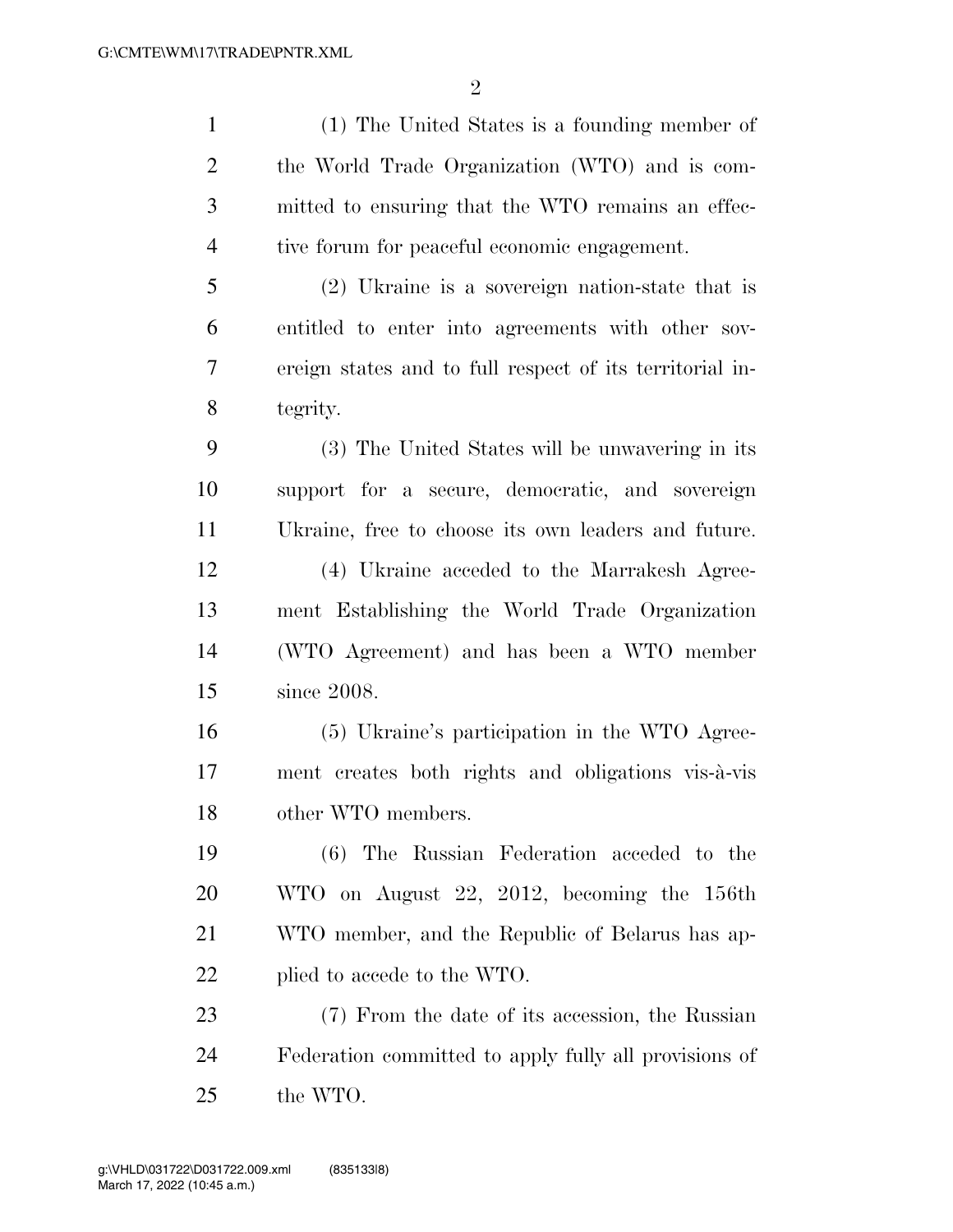$\mathfrak{D}$ 

 (1) The United States is a founding member of the World Trade Organization (WTO) and is com- mitted to ensuring that the WTO remains an effec- tive forum for peaceful economic engagement. (2) Ukraine is a sovereign nation-state that is

 entitled to enter into agreements with other sov- ereign states and to full respect of its territorial in-tegrity.

 (3) The United States will be unwavering in its support for a secure, democratic, and sovereign Ukraine, free to choose its own leaders and future. (4) Ukraine acceded to the Marrakesh Agree- ment Establishing the World Trade Organization (WTO Agreement) and has been a WTO member since 2008.

 (5) Ukraine's participation in the WTO Agree- ment creates both rights and obligations vis-a`-vis other WTO members.

 (6) The Russian Federation acceded to the WTO on August 22, 2012, becoming the 156th WTO member, and the Republic of Belarus has ap-22 plied to accede to the WTO.

 (7) From the date of its accession, the Russian Federation committed to apply fully all provisions of the WTO.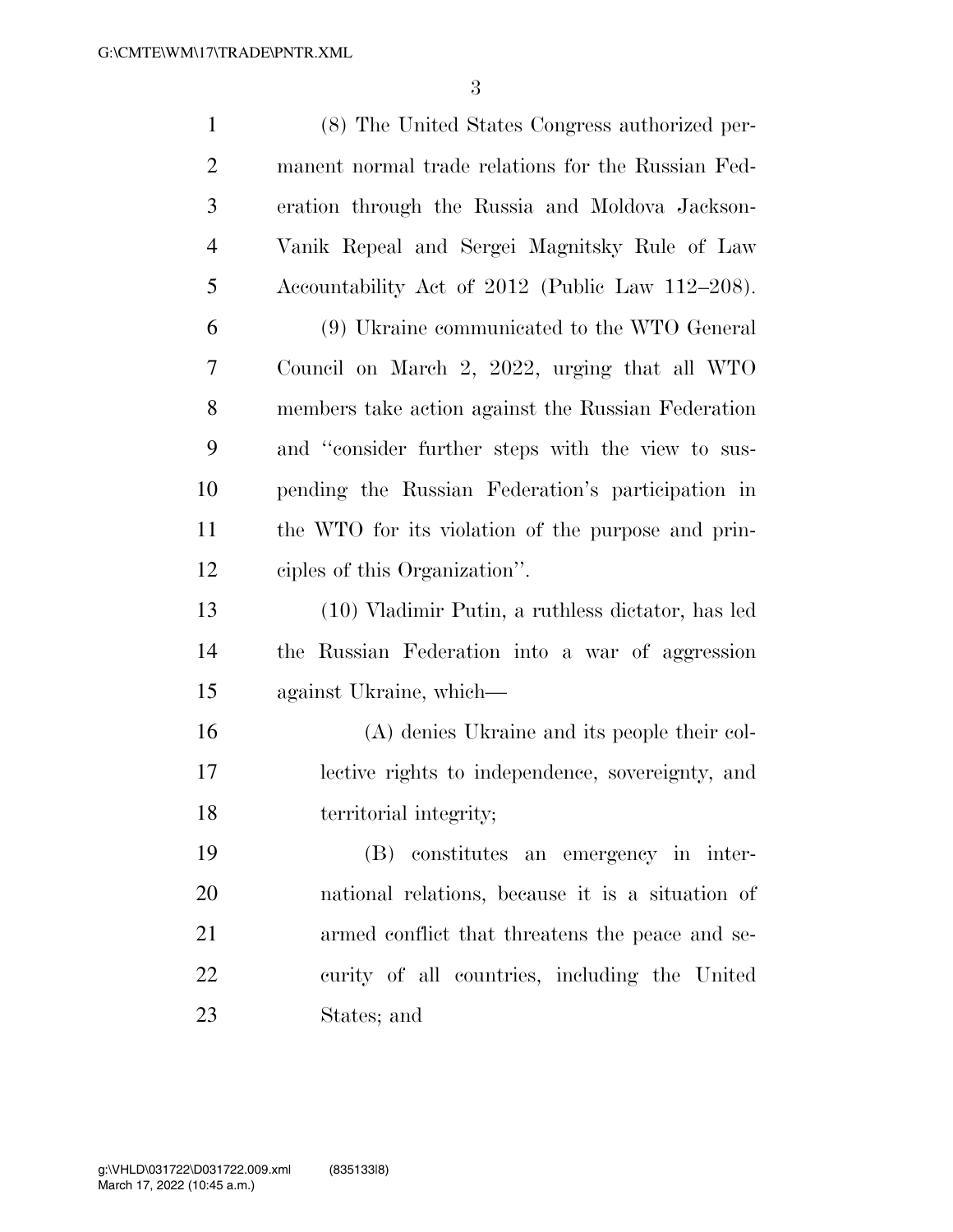| $\mathbf{1}$   | (8) The United States Congress authorized per-     |
|----------------|----------------------------------------------------|
| $\overline{2}$ | manent normal trade relations for the Russian Fed- |
| $\mathfrak{Z}$ | eration through the Russia and Moldova Jackson-    |
| $\overline{4}$ | Vanik Repeal and Sergei Magnitsky Rule of Law      |
| 5              | Accountability Act of 2012 (Public Law 112–208).   |
| 6              | (9) Ukraine communicated to the WTO General        |
| 7              | Council on March 2, 2022, urging that all WTO      |
| 8              | members take action against the Russian Federation |
| 9              | and "consider further steps with the view to sus-  |
| 10             | pending the Russian Federation's participation in  |
| 11             | the WTO for its violation of the purpose and prin- |
| 12             | ciples of this Organization".                      |
| 13             | (10) Vladimir Putin, a ruthless dictator, has led  |
| 14             | the Russian Federation into a war of aggression    |
| 15             | against Ukraine, which-                            |
| 16             | (A) denies Ukraine and its people their col-       |
| 17             | lective rights to independence, sovereignty, and   |
| 18             | territorial integrity;                             |
| 19             | (B) constitutes an emergency in inter-             |
| 20             | national relations, because it is a situation of   |
| 21             | armed conflict that threatens the peace and se-    |
| 22             | curity of all countries, including the United      |
| 23             | States; and                                        |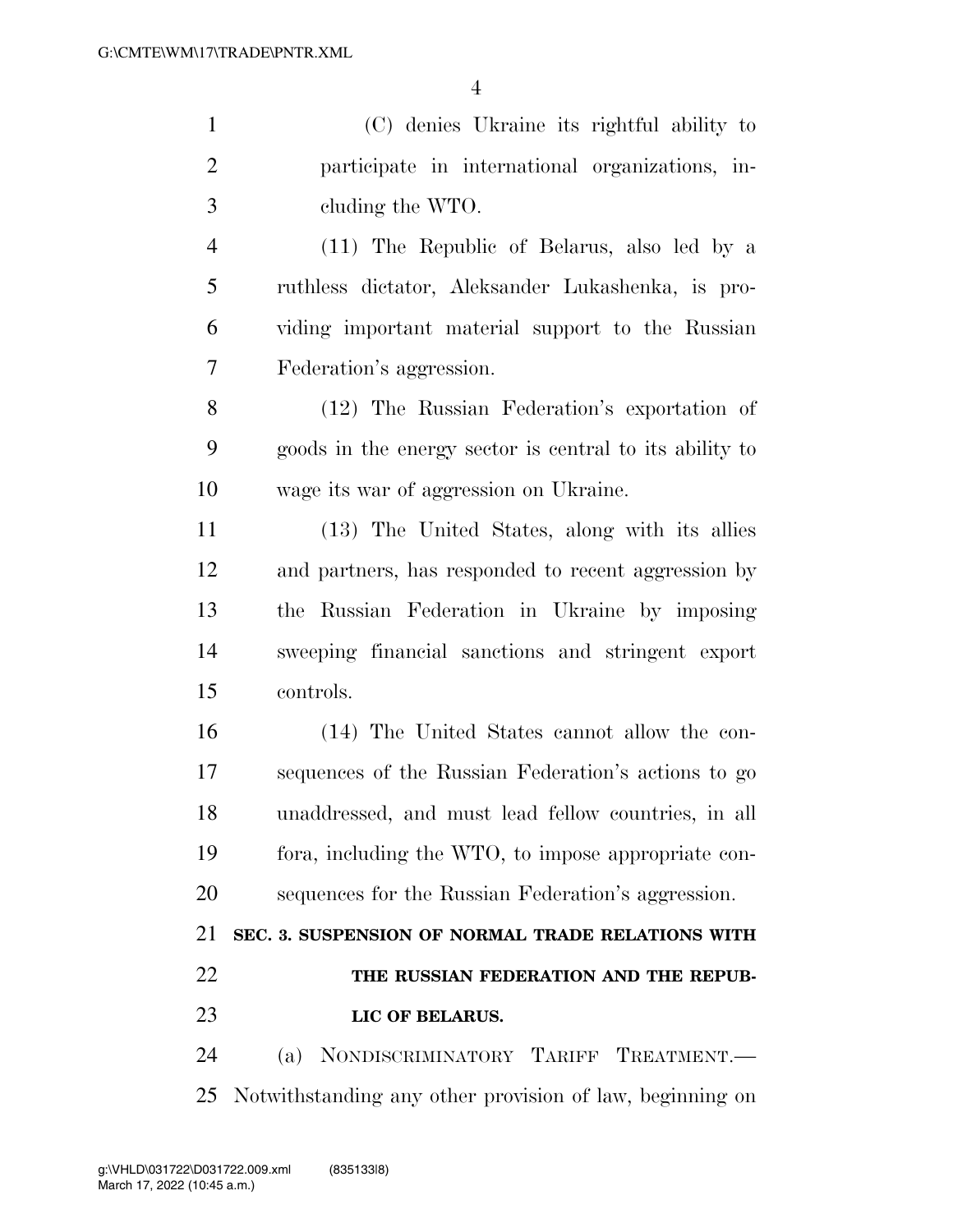(C) denies Ukraine its rightful ability to participate in international organizations, in-cluding the WTO.

 (11) The Republic of Belarus, also led by a ruthless dictator, Aleksander Lukashenka, is pro- viding important material support to the Russian Federation's aggression.

 (12) The Russian Federation's exportation of goods in the energy sector is central to its ability to wage its war of aggression on Ukraine.

 (13) The United States, along with its allies and partners, has responded to recent aggression by the Russian Federation in Ukraine by imposing sweeping financial sanctions and stringent export controls.

 (14) The United States cannot allow the con- sequences of the Russian Federation's actions to go unaddressed, and must lead fellow countries, in all fora, including the WTO, to impose appropriate con-sequences for the Russian Federation's aggression.

 **SEC. 3. SUSPENSION OF NORMAL TRADE RELATIONS WITH THE RUSSIAN FEDERATION AND THE REPUB-LIC OF BELARUS.** 

 (a) NONDISCRIMINATORY TARIFF TREATMENT.— Notwithstanding any other provision of law, beginning on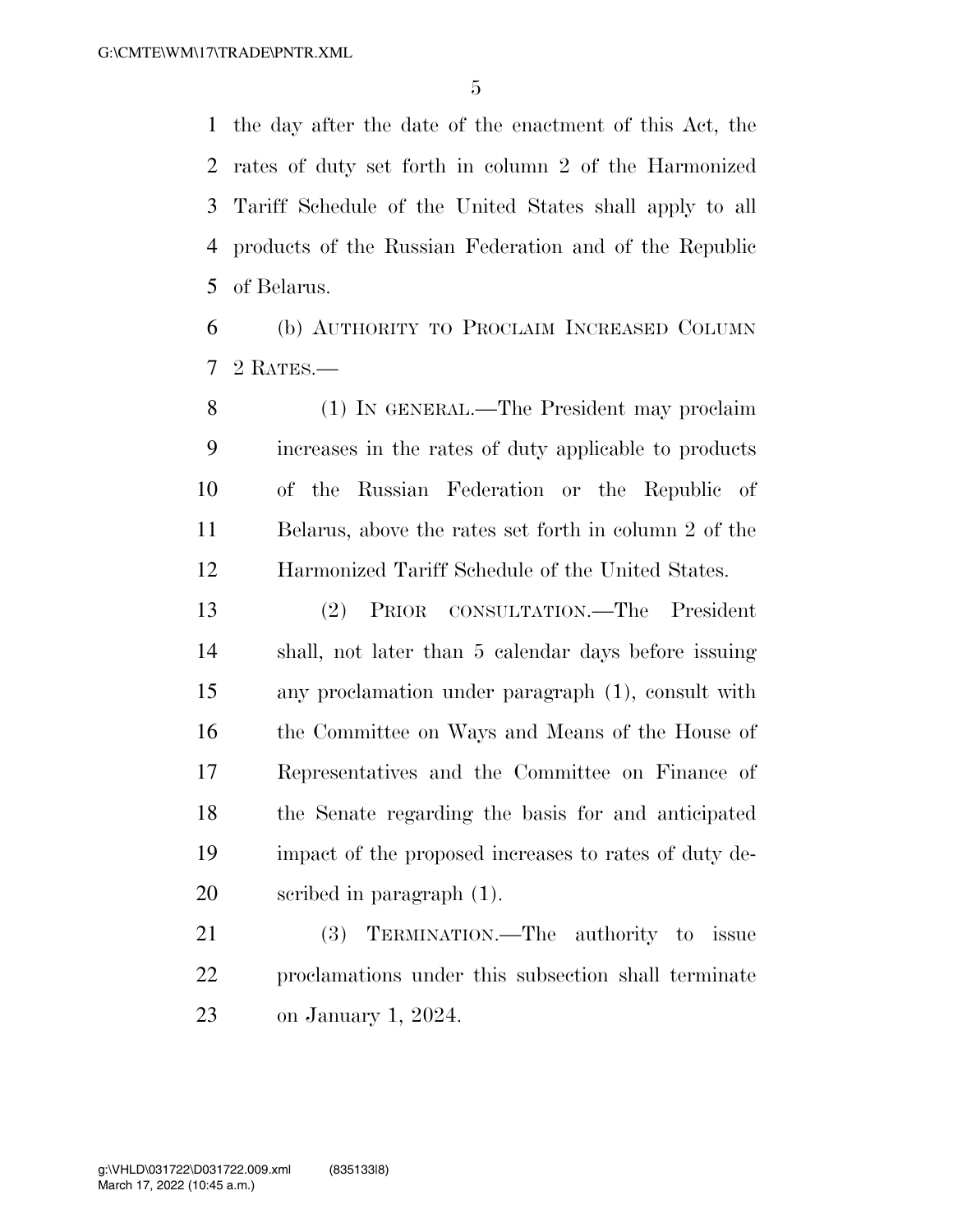the day after the date of the enactment of this Act, the rates of duty set forth in column 2 of the Harmonized Tariff Schedule of the United States shall apply to all products of the Russian Federation and of the Republic of Belarus.

 (b) AUTHORITY TO PROCLAIM INCREASED COLUMN 2 RATES.—

 (1) IN GENERAL.—The President may proclaim increases in the rates of duty applicable to products of the Russian Federation or the Republic of Belarus, above the rates set forth in column 2 of the Harmonized Tariff Schedule of the United States.

 (2) PRIOR CONSULTATION.—The President shall, not later than 5 calendar days before issuing any proclamation under paragraph (1), consult with 16 the Committee on Ways and Means of the House of Representatives and the Committee on Finance of the Senate regarding the basis for and anticipated impact of the proposed increases to rates of duty de-scribed in paragraph (1).

 (3) TERMINATION.—The authority to issue proclamations under this subsection shall terminate on January 1, 2024.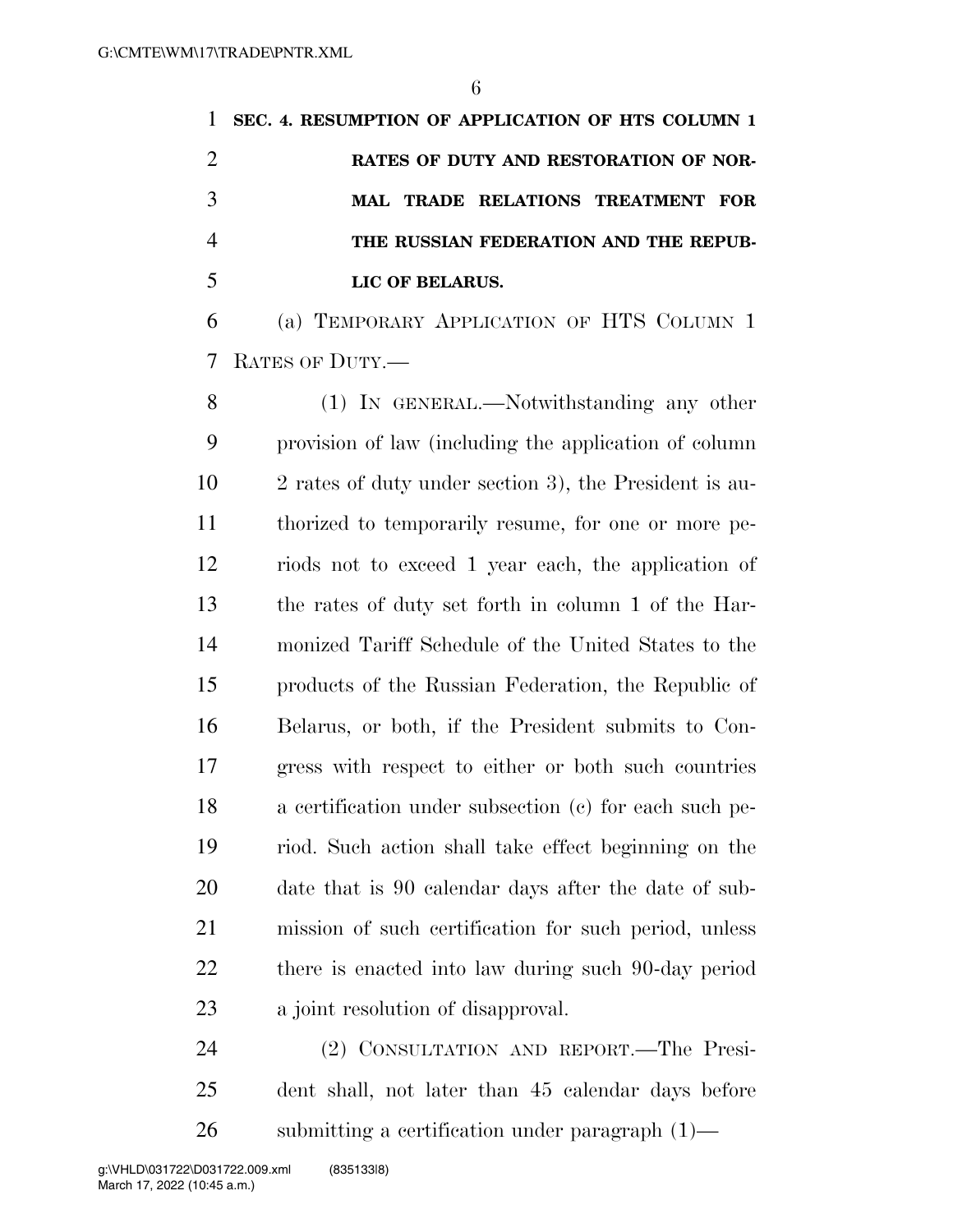**SEC. 4. RESUMPTION OF APPLICATION OF HTS COLUMN 1 RATES OF DUTY AND RESTORATION OF NOR- MAL TRADE RELATIONS TREATMENT FOR THE RUSSIAN FEDERATION AND THE REPUB-LIC OF BELARUS.** 

 (a) TEMPORARY APPLICATION OF HTS COLUMN 1 RATES OF DUTY.—

 (1) IN GENERAL.—Notwithstanding any other provision of law (including the application of column 2 rates of duty under section 3), the President is au- thorized to temporarily resume, for one or more pe- riods not to exceed 1 year each, the application of the rates of duty set forth in column 1 of the Har- monized Tariff Schedule of the United States to the products of the Russian Federation, the Republic of Belarus, or both, if the President submits to Con- gress with respect to either or both such countries a certification under subsection (c) for each such pe- riod. Such action shall take effect beginning on the date that is 90 calendar days after the date of sub- mission of such certification for such period, unless there is enacted into law during such 90-day period a joint resolution of disapproval.

 (2) CONSULTATION AND REPORT.—The Presi- dent shall, not later than 45 calendar days before 26 submitting a certification under paragraph  $(1)$ —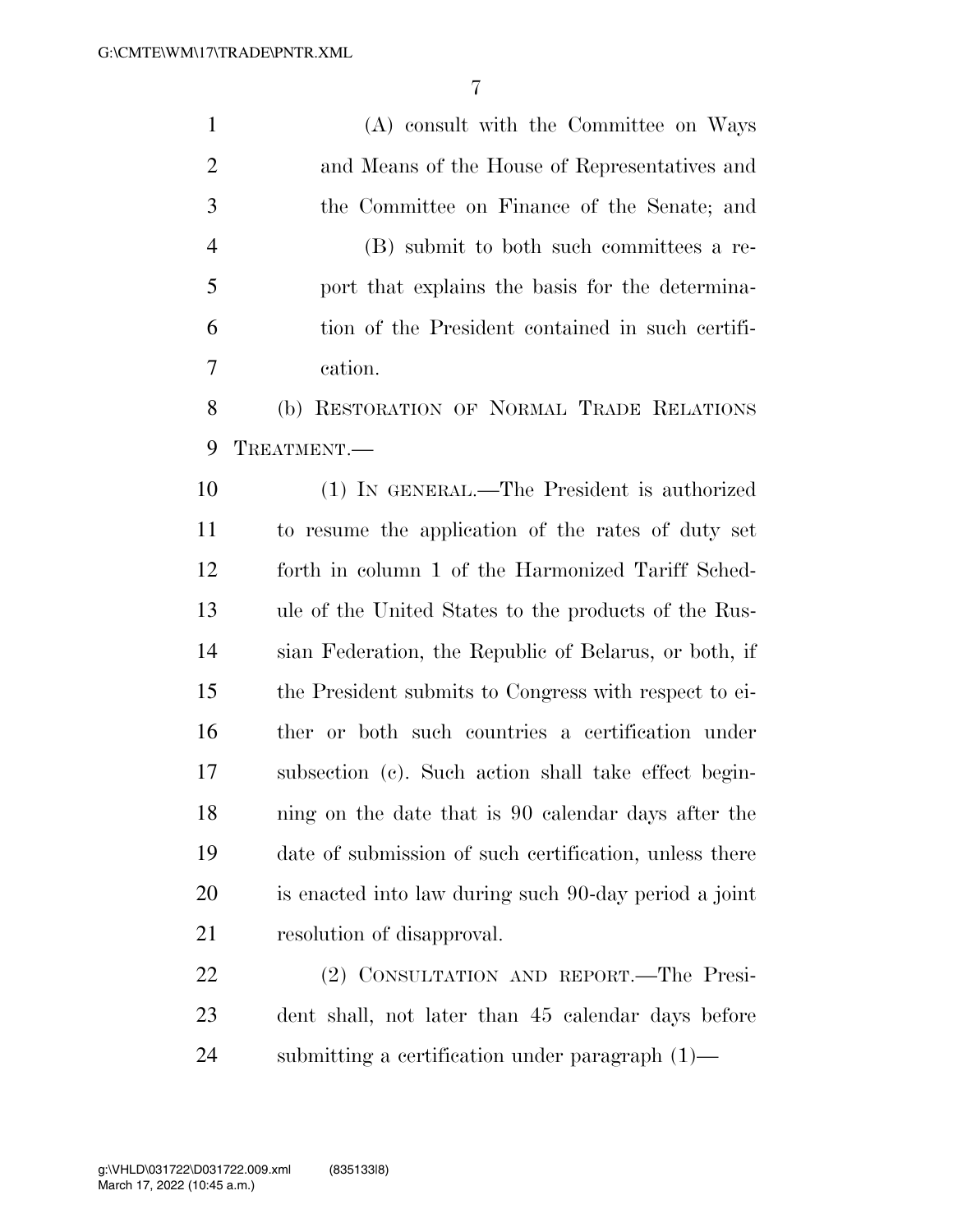(A) consult with the Committee on Ways and Means of the House of Representatives and the Committee on Finance of the Senate; and (B) submit to both such committees a re- port that explains the basis for the determina- tion of the President contained in such certifi- cation. (b) RESTORATION OF NORMAL TRADE RELATIONS TREATMENT.— (1) IN GENERAL.—The President is authorized to resume the application of the rates of duty set forth in column 1 of the Harmonized Tariff Sched- ule of the United States to the products of the Rus- sian Federation, the Republic of Belarus, or both, if the President submits to Congress with respect to ei- ther or both such countries a certification under subsection (c). Such action shall take effect begin- ning on the date that is 90 calendar days after the date of submission of such certification, unless there is enacted into law during such 90-day period a joint resolution of disapproval. (2) CONSULTATION AND REPORT.—The Presi-dent shall, not later than 45 calendar days before

submitting a certification under paragraph (1)—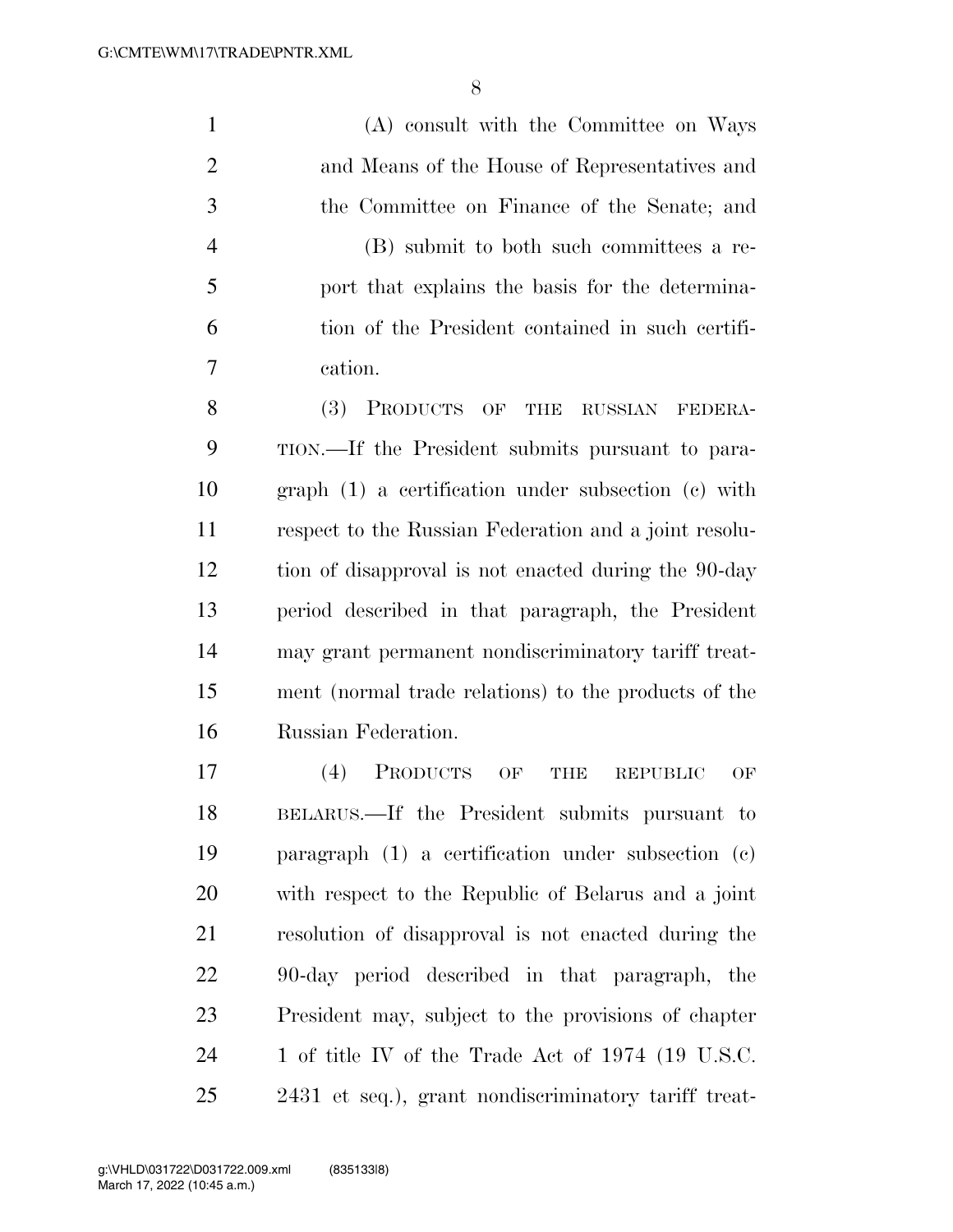(A) consult with the Committee on Ways and Means of the House of Representatives and the Committee on Finance of the Senate; and (B) submit to both such committees a re- port that explains the basis for the determina- tion of the President contained in such certifi- cation. (3) PRODUCTS OF THE RUSSIAN FEDERA- TION.—If the President submits pursuant to para- graph (1) a certification under subsection (c) with respect to the Russian Federation and a joint resolu- tion of disapproval is not enacted during the 90-day period described in that paragraph, the President may grant permanent nondiscriminatory tariff treat- ment (normal trade relations) to the products of the Russian Federation. (4) PRODUCTS OF THE REPUBLIC OF BELARUS.—If the President submits pursuant to paragraph (1) a certification under subsection (c) with respect to the Republic of Belarus and a joint resolution of disapproval is not enacted during the 90-day period described in that paragraph, the President may, subject to the provisions of chapter

24 1 of title IV of the Trade Act of 1974 (19 U.S.C. 2431 et seq.), grant nondiscriminatory tariff treat-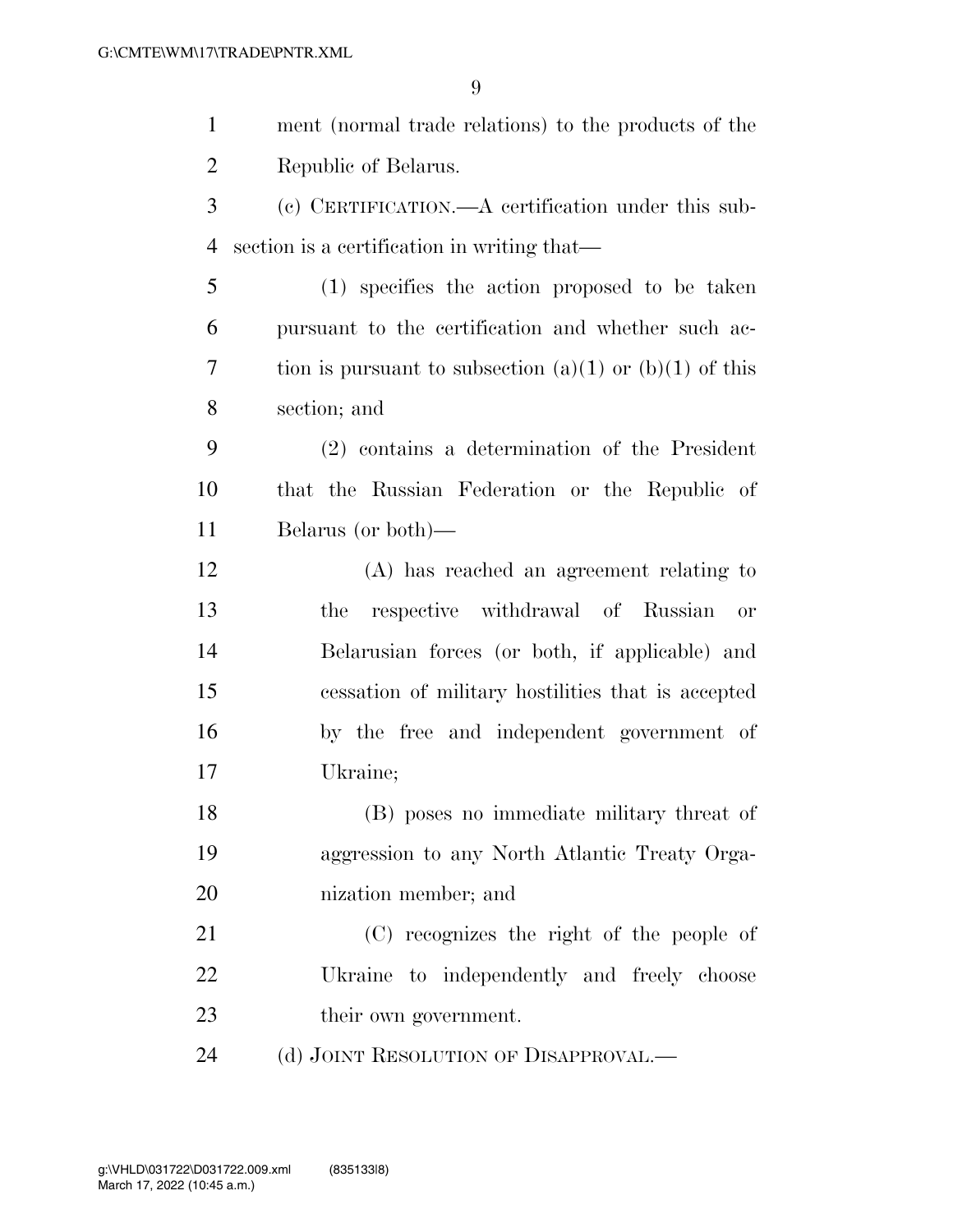| $\mathbf{1}$   | ment (normal trade relations) to the products of the    |
|----------------|---------------------------------------------------------|
| $\overline{2}$ | Republic of Belarus.                                    |
| 3              | (c) CERTIFICATION.—A certification under this sub-      |
| $\overline{4}$ | section is a certification in writing that—             |
| 5              | (1) specifies the action proposed to be taken           |
| 6              | pursuant to the certification and whether such ac-      |
| 7              | tion is pursuant to subsection (a)(1) or (b)(1) of this |
| 8              | section; and                                            |
| 9              | $(2)$ contains a determination of the President         |
| 10             | that the Russian Federation or the Republic of          |
| 11             | Belarus (or both)—                                      |
| 12             | (A) has reached an agreement relating to                |
| 13             | respective withdrawal of Russian<br>the<br>or           |
| 14             | Belarusian forces (or both, if applicable) and          |
| 15             | cessation of military hostilities that is accepted      |
| 16             | by the free and independent government of               |
| 17             | Ukraine;                                                |
| 18             | (B) poses no immediate military threat of               |
| 19             | aggression to any North Atlantic Treaty Orga-           |
| 20             | nization member; and                                    |
| 21             | (C) recognizes the right of the people of               |
| 22             | Ukraine to independently and freely choose              |
| 23             | their own government.                                   |
| 24             | (d) JOINT RESOLUTION OF DISAPPROVAL.—                   |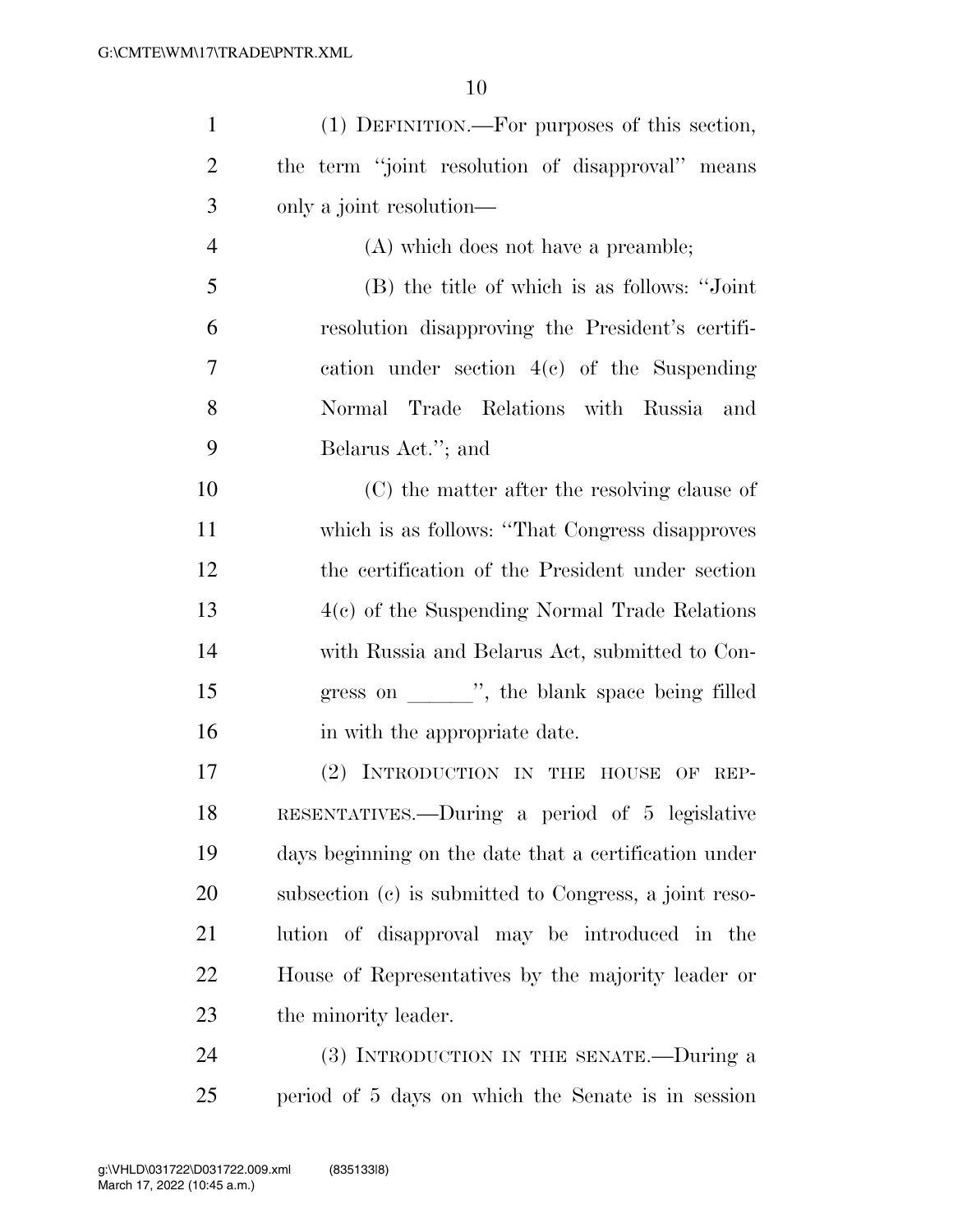| $\mathbf{1}$   | (1) DEFINITION.—For purposes of this section,          |
|----------------|--------------------------------------------------------|
| $\overline{2}$ | the term "joint resolution of disapproval" means       |
| 3              | only a joint resolution—                               |
| $\overline{4}$ | (A) which does not have a preamble;                    |
| 5              | (B) the title of which is as follows: "Joint"          |
| 6              | resolution disapproving the President's certifi-       |
| 7              | cation under section $4(e)$ of the Suspending          |
| 8              | Normal Trade Relations with Russia<br>and              |
| 9              | Belarus Act."; and                                     |
| 10             | (C) the matter after the resolving clause of           |
| 11             | which is as follows: "That Congress disapproves"       |
| 12             | the certification of the President under section       |
| 13             | $4(c)$ of the Suspending Normal Trade Relations        |
| 14             | with Russia and Belarus Act, submitted to Con-         |
| 15             | gress on _______", the blank space being filled        |
| 16             | in with the appropriate date.                          |
| 17             | (2) INTRODUCTION IN THE HOUSE OF REP-                  |
| 18             | RESENTATIVES.—During a period of 5 legislative         |
| 19             | days beginning on the date that a certification under  |
| 20             | subsection (c) is submitted to Congress, a joint reso- |
| 21             | lution of disapproval may be introduced in the         |
| 22             | House of Representatives by the majority leader or     |
| 23             | the minority leader.                                   |
| 24             | (3) INTRODUCTION IN THE SENATE.--During a              |
| 25             | period of 5 days on which the Senate is in session     |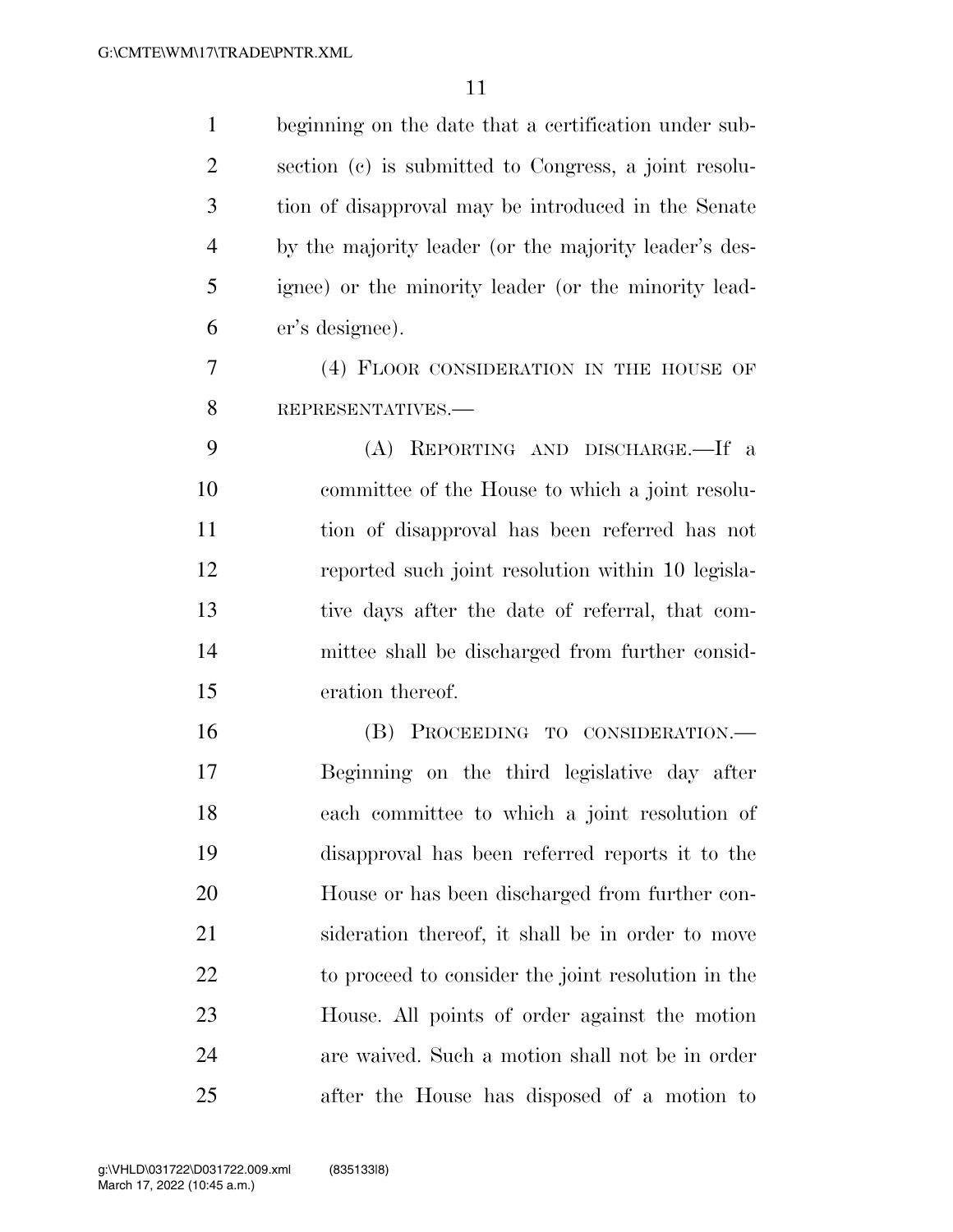| $\mathbf{1}$   | beginning on the date that a certification under sub- |
|----------------|-------------------------------------------------------|
| $\overline{2}$ | section (c) is submitted to Congress, a joint resolu- |
| 3              | tion of disapproval may be introduced in the Senate   |
| $\overline{4}$ | by the majority leader (or the majority leader's des- |
| 5              | ignee) or the minority leader (or the minority lead-  |
| 6              | er's designee).                                       |
| 7              | (4) FLOOR CONSIDERATION IN THE HOUSE OF               |
| 8              | REPRESENTATIVES.-                                     |
| 9              | (A) REPORTING AND DISCHARGE.—If a                     |
| 10             | committee of the House to which a joint resolu-       |
| 11             | tion of disapproval has been referred has not         |
| 12             | reported such joint resolution within 10 legisla-     |
| 13             | tive days after the date of referral, that com-       |
| 14             | mittee shall be discharged from further consid-       |
| 15             | eration thereof.                                      |
| 16             | (B) PROCEEDING TO CONSIDERATION.—                     |
| 17             | Beginning on the third legislative day after          |
| 18             | each committee to which a joint resolution of         |
| 19             | disapproval has been referred reports it to the       |
| 20             | House or has been discharged from further con-        |
| 21             | sideration thereof, it shall be in order to move      |
| 22             | to proceed to consider the joint resolution in the    |
| 23             | House. All points of order against the motion         |
| 24             | are waived. Such a motion shall not be in order       |
| 25             | after the House has disposed of a motion to           |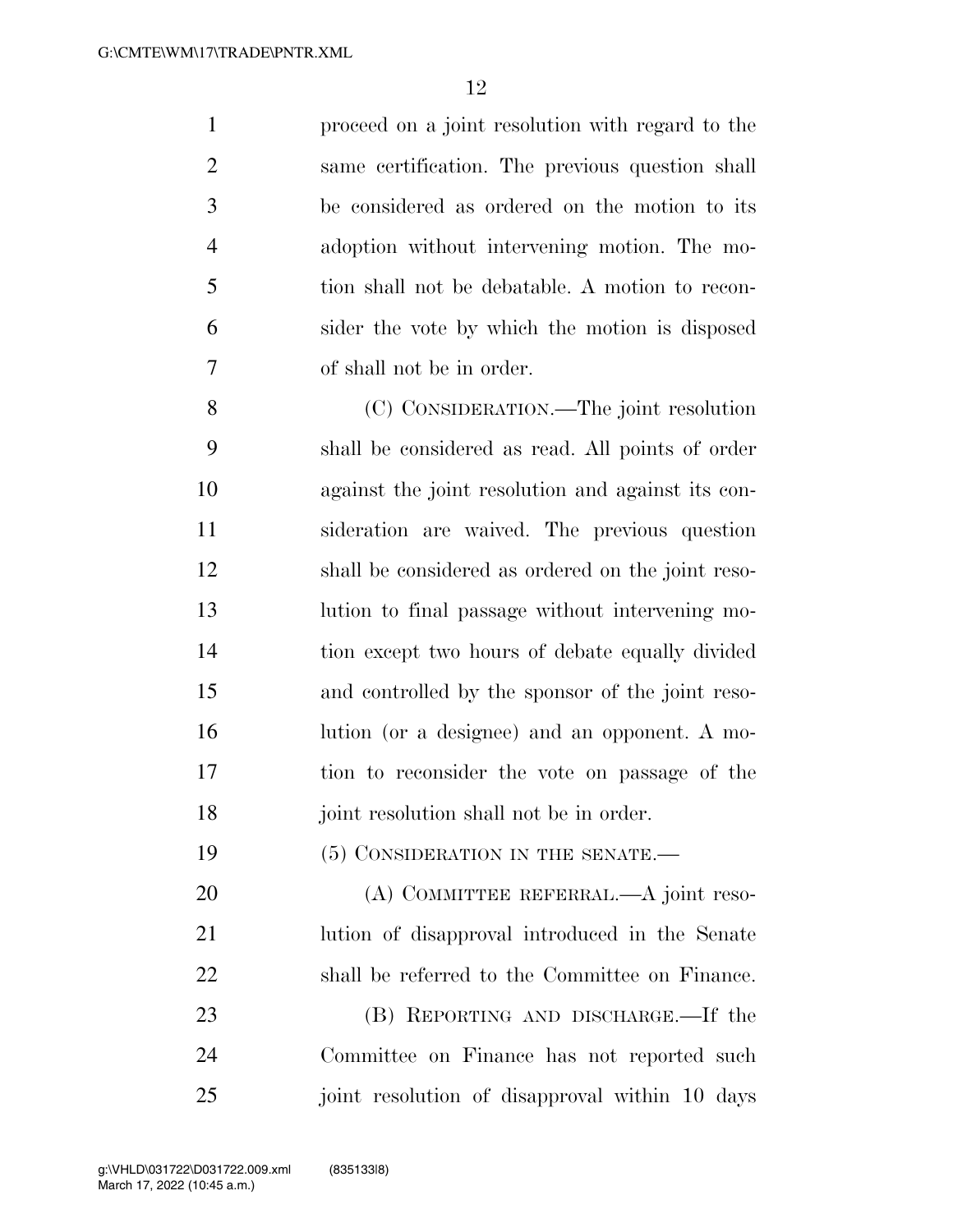proceed on a joint resolution with regard to the same certification. The previous question shall be considered as ordered on the motion to its adoption without intervening motion. The mo- tion shall not be debatable. A motion to recon- sider the vote by which the motion is disposed of shall not be in order.

 (C) CONSIDERATION.—The joint resolution shall be considered as read. All points of order against the joint resolution and against its con- sideration are waived. The previous question shall be considered as ordered on the joint reso- lution to final passage without intervening mo- tion except two hours of debate equally divided and controlled by the sponsor of the joint reso- lution (or a designee) and an opponent. A mo- tion to reconsider the vote on passage of the joint resolution shall not be in order.

19 (5) CONSIDERATION IN THE SENATE.

20 (A) COMMITTEE REFERRAL.—A joint reso- lution of disapproval introduced in the Senate shall be referred to the Committee on Finance.

23 (B) REPORTING AND DISCHARGE.—If the Committee on Finance has not reported such joint resolution of disapproval within 10 days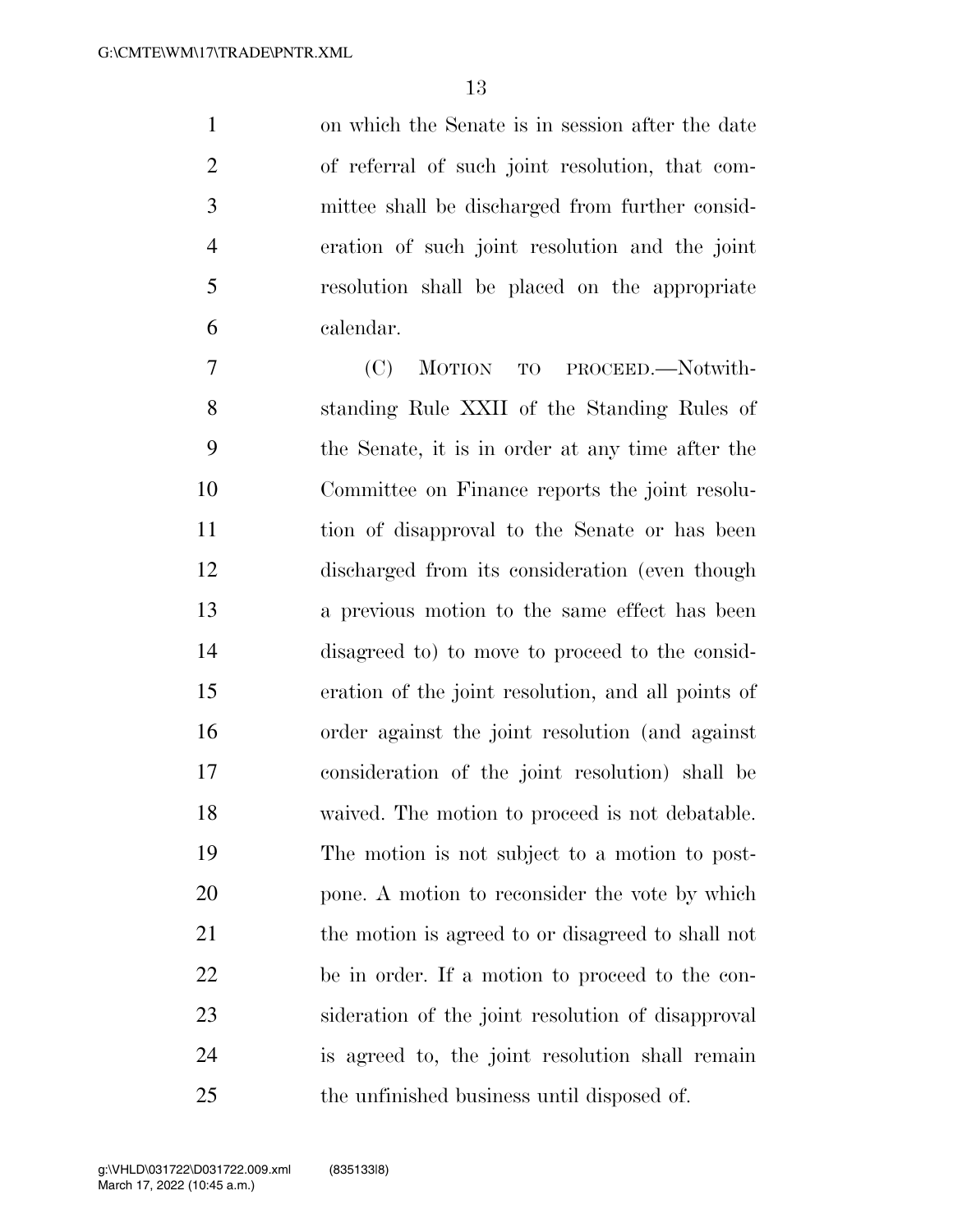on which the Senate is in session after the date of referral of such joint resolution, that com- mittee shall be discharged from further consid- eration of such joint resolution and the joint resolution shall be placed on the appropriate calendar.

 (C) MOTION TO PROCEED.—Notwith- standing Rule XXII of the Standing Rules of the Senate, it is in order at any time after the Committee on Finance reports the joint resolu- tion of disapproval to the Senate or has been discharged from its consideration (even though a previous motion to the same effect has been disagreed to) to move to proceed to the consid- eration of the joint resolution, and all points of order against the joint resolution (and against consideration of the joint resolution) shall be waived. The motion to proceed is not debatable. The motion is not subject to a motion to post- pone. A motion to reconsider the vote by which the motion is agreed to or disagreed to shall not be in order. If a motion to proceed to the con- sideration of the joint resolution of disapproval is agreed to, the joint resolution shall remain the unfinished business until disposed of.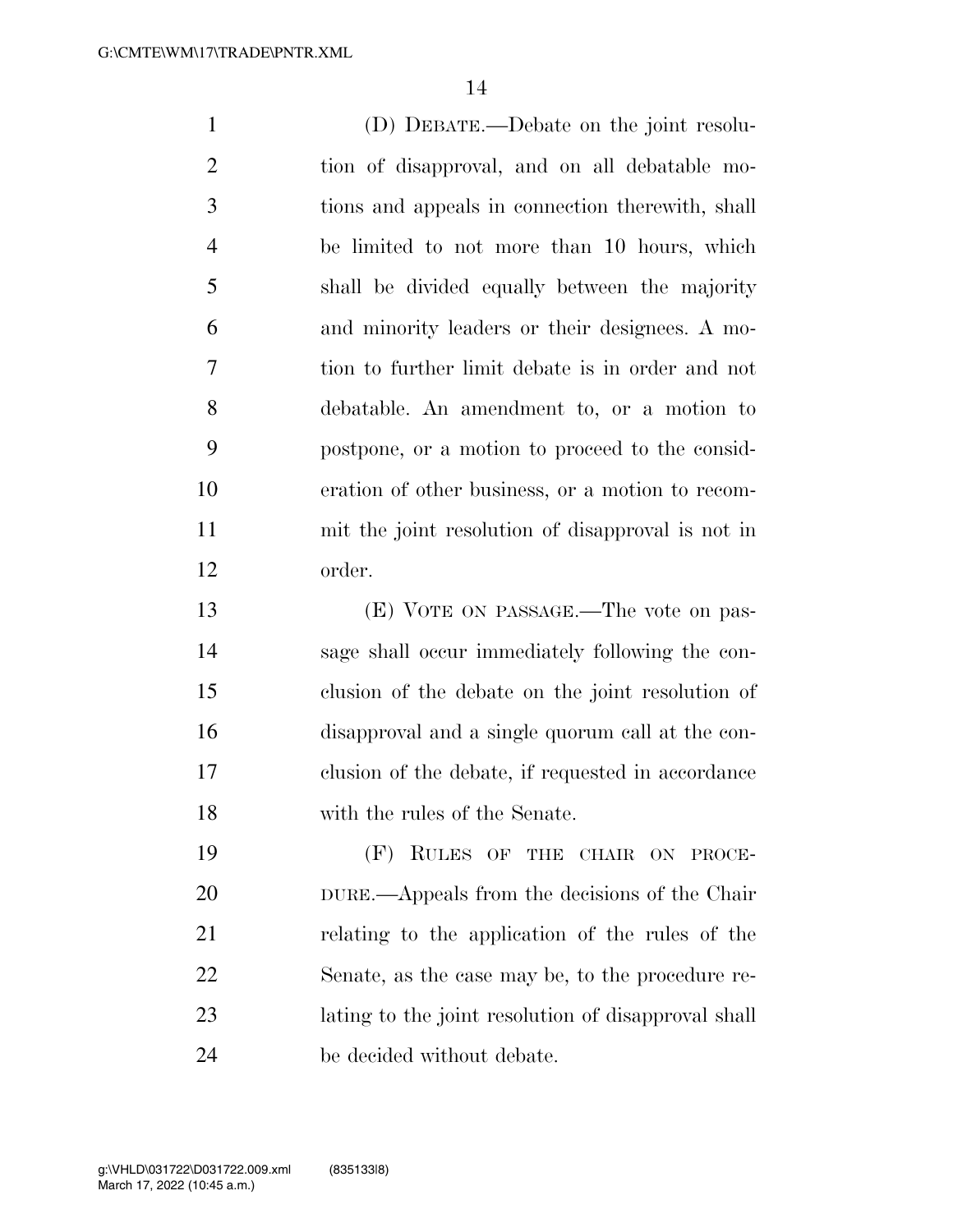(D) DEBATE.—Debate on the joint resolu- tion of disapproval, and on all debatable mo- tions and appeals in connection therewith, shall be limited to not more than 10 hours, which shall be divided equally between the majority and minority leaders or their designees. A mo- tion to further limit debate is in order and not debatable. An amendment to, or a motion to postpone, or a motion to proceed to the consid- eration of other business, or a motion to recom- mit the joint resolution of disapproval is not in order. (E) VOTE ON PASSAGE.—The vote on pas- sage shall occur immediately following the con- clusion of the debate on the joint resolution of disapproval and a single quorum call at the con- clusion of the debate, if requested in accordance with the rules of the Senate.

 (F) RULES OF THE CHAIR ON PROCE- DURE.—Appeals from the decisions of the Chair relating to the application of the rules of the Senate, as the case may be, to the procedure re- lating to the joint resolution of disapproval shall be decided without debate.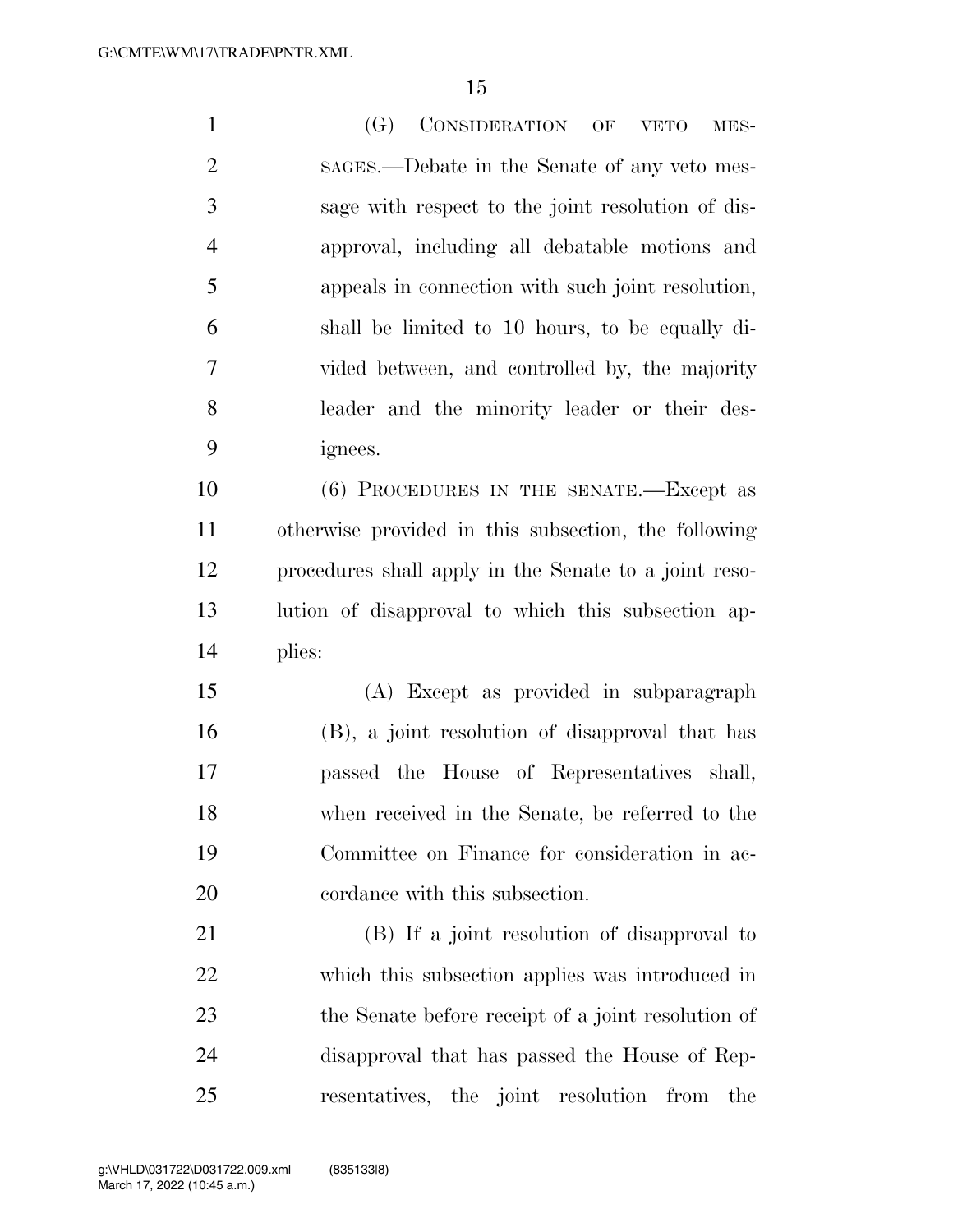(G) CONSIDERATION OF VETO MES- SAGES.—Debate in the Senate of any veto mes- sage with respect to the joint resolution of dis- approval, including all debatable motions and appeals in connection with such joint resolution, shall be limited to 10 hours, to be equally di- vided between, and controlled by, the majority leader and the minority leader or their des- ignees. (6) PROCEDURES IN THE SENATE.—Except as otherwise provided in this subsection, the following procedures shall apply in the Senate to a joint reso- lution of disapproval to which this subsection ap- plies: (A) Except as provided in subparagraph

 (B), a joint resolution of disapproval that has passed the House of Representatives shall, when received in the Senate, be referred to the Committee on Finance for consideration in ac-cordance with this subsection.

 (B) If a joint resolution of disapproval to which this subsection applies was introduced in the Senate before receipt of a joint resolution of disapproval that has passed the House of Rep-resentatives, the joint resolution from the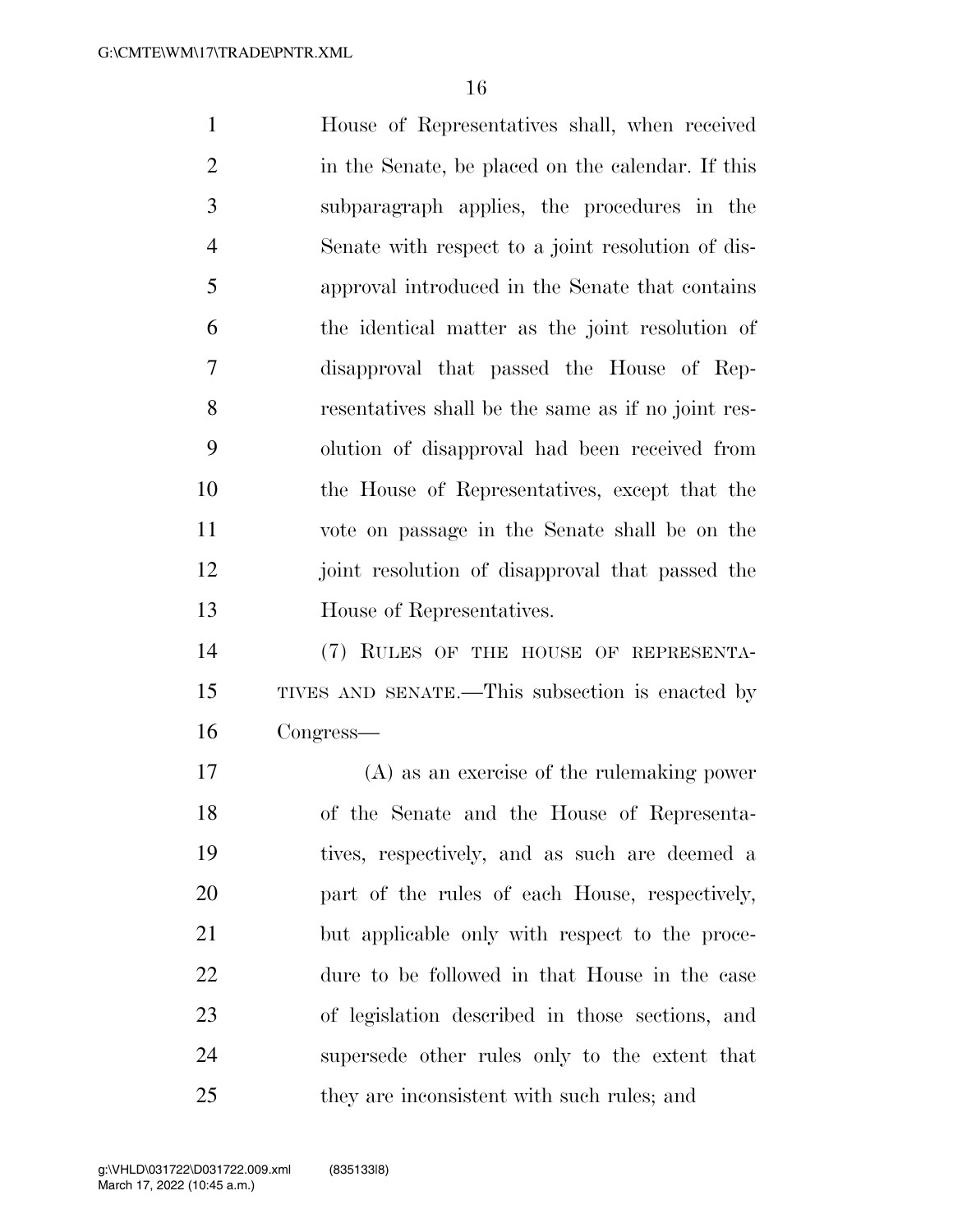House of Representatives shall, when received in the Senate, be placed on the calendar. If this subparagraph applies, the procedures in the Senate with respect to a joint resolution of dis- approval introduced in the Senate that contains the identical matter as the joint resolution of disapproval that passed the House of Rep- resentatives shall be the same as if no joint res- olution of disapproval had been received from the House of Representatives, except that the vote on passage in the Senate shall be on the joint resolution of disapproval that passed the House of Representatives. (7) RULES OF THE HOUSE OF REPRESENTA-TIVES AND SENATE.—This subsection is enacted by

Congress—

 (A) as an exercise of the rulemaking power of the Senate and the House of Representa- tives, respectively, and as such are deemed a part of the rules of each House, respectively, but applicable only with respect to the proce- dure to be followed in that House in the case of legislation described in those sections, and supersede other rules only to the extent that they are inconsistent with such rules; and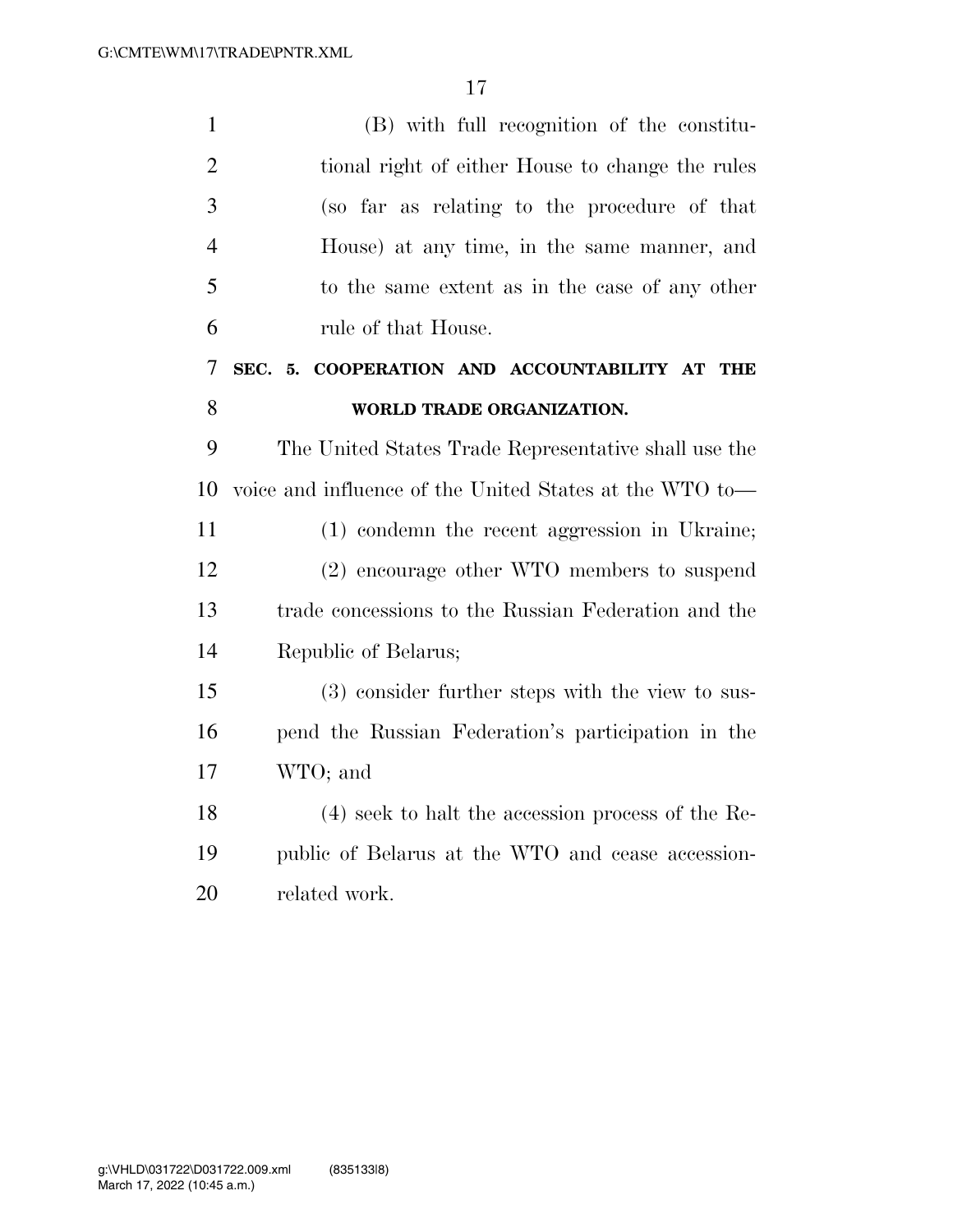| $\mathbf{1}$   | (B) with full recognition of the constitu-              |
|----------------|---------------------------------------------------------|
| $\overline{2}$ | tional right of either House to change the rules        |
| 3              | (so far as relating to the procedure of that            |
| $\overline{4}$ | House) at any time, in the same manner, and             |
| 5              | to the same extent as in the case of any other          |
| 6              | rule of that House.                                     |
| 7              | SEC. 5. COOPERATION AND ACCOUNTABILITY AT THE           |
| 8              | WORLD TRADE ORGANIZATION.                               |
| 9              | The United States Trade Representative shall use the    |
| 10             | voice and influence of the United States at the WTO to— |
| 11             | (1) condemn the recent aggression in Ukraine;           |
| 12             | (2) encourage other WTO members to suspend              |
| 13             | trade concessions to the Russian Federation and the     |
| 14             | Republic of Belarus;                                    |
| 15             | (3) consider further steps with the view to sus-        |
| 16             | pend the Russian Federation's participation in the      |
| 17             | WTO; and                                                |
| 18             | $(4)$ seek to halt the accession process of the Re-     |
| 19             | public of Belarus at the WTO and cease accession-       |
| 20             | related work.                                           |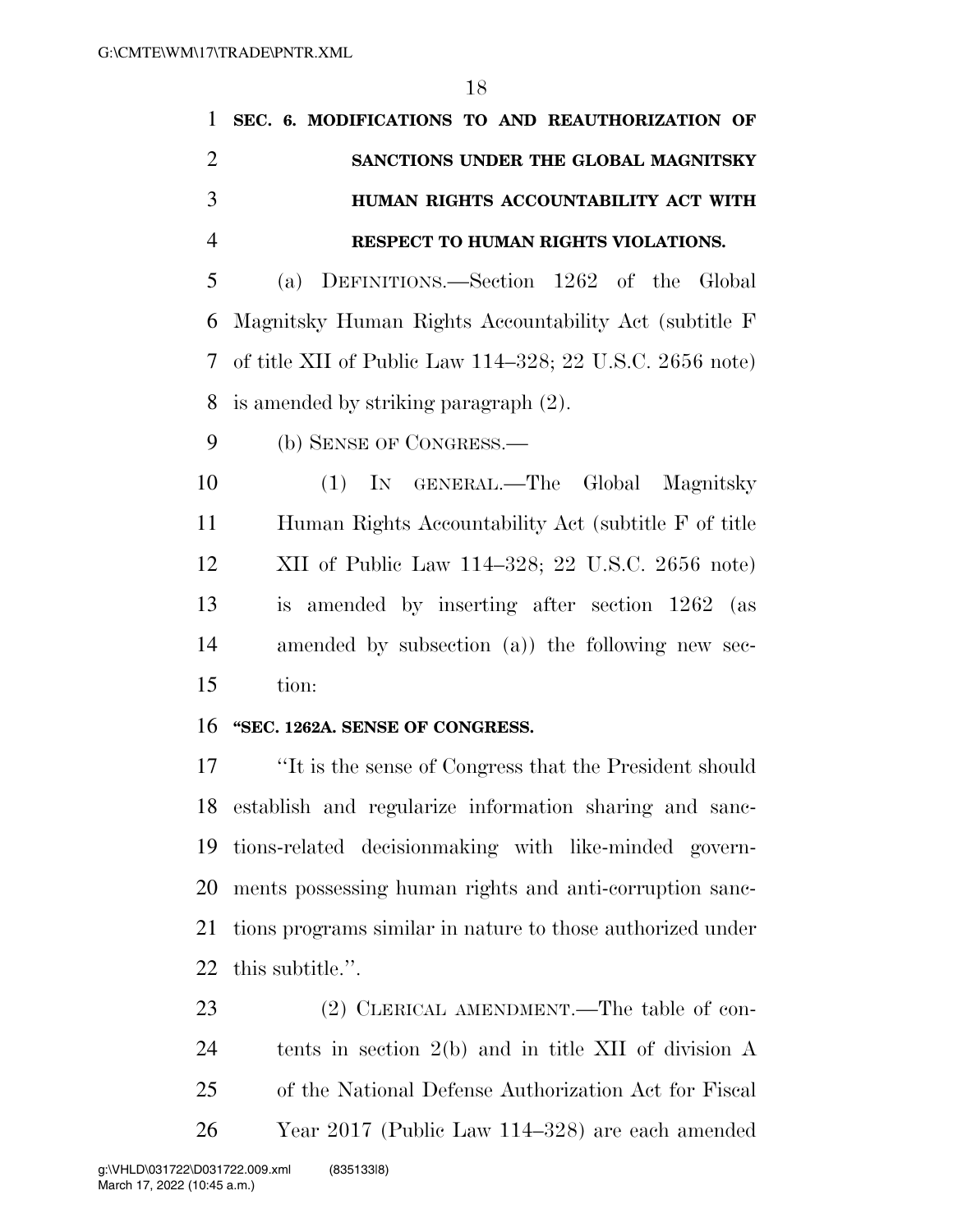|               | 1 SEC. 6. MODIFICATIONS TO AND REAUTHORIZATION OF |
|---------------|---------------------------------------------------|
|               | SANCTIONS UNDER THE GLOBAL MAGNITSKY              |
| $\mathcal{R}$ | HUMAN RIGHTS ACCOUNTABILITY ACT WITH              |
|               | RESPECT TO HUMAN RIGHTS VIOLATIONS.               |

 (a) DEFINITIONS.—Section 1262 of the Global Magnitsky Human Rights Accountability Act (subtitle F of title XII of Public Law 114–328; 22 U.S.C. 2656 note) is amended by striking paragraph (2).

(b) SENSE OF CONGRESS.—

 (1) IN GENERAL.—The Global Magnitsky Human Rights Accountability Act (subtitle F of title XII of Public Law 114–328; 22 U.S.C. 2656 note) is amended by inserting after section 1262 (as amended by subsection (a)) the following new sec-tion:

#### **''SEC. 1262A. SENSE OF CONGRESS.**

 ''It is the sense of Congress that the President should establish and regularize information sharing and sanc- tions-related decisionmaking with like-minded govern- ments possessing human rights and anti-corruption sanc- tions programs similar in nature to those authorized under this subtitle.''.

23 (2) CLERICAL AMENDMENT.—The table of con- tents in section 2(b) and in title XII of division A of the National Defense Authorization Act for Fiscal Year 2017 (Public Law 114–328) are each amended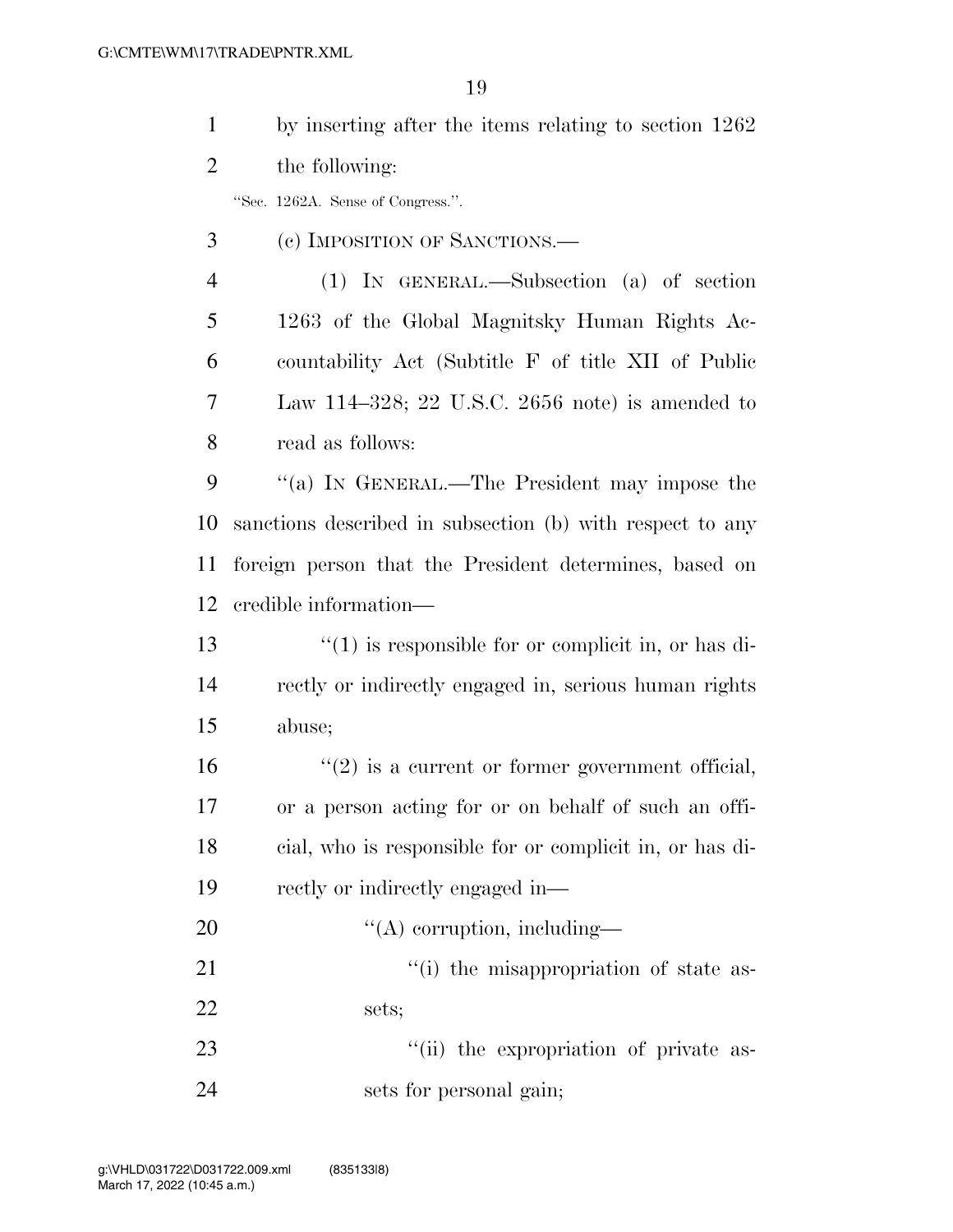| $\mathbf{1}$   | by inserting after the items relating to section 1262      |
|----------------|------------------------------------------------------------|
| 2              | the following:                                             |
|                | "Sec. 1262A. Sense of Congress.".                          |
| 3              | (c) IMPOSITION OF SANCTIONS.—                              |
| $\overline{4}$ | (1) IN GENERAL.—Subsection (a) of section                  |
| 5              | 1263 of the Global Magnitsky Human Rights Ac-              |
| 6              | countability Act (Subtitle F of title XII of Public        |
| 7              | Law 114–328; 22 U.S.C. 2656 note) is amended to            |
| 8              | read as follows:                                           |
| 9              | "(a) IN GENERAL.—The President may impose the              |
| 10             | sanctions described in subsection (b) with respect to any  |
| 11             | foreign person that the President determines, based on     |
| 12             | credible information—                                      |
| 13             | $\cdot$ (1) is responsible for or complicit in, or has di- |
| 14             | rectly or indirectly engaged in, serious human rights      |
| 15             | abuse;                                                     |
| 16             | $\lq(2)$ is a current or former government official,       |
| 17             | or a person acting for or on behalf of such an offi-       |
| 18             | cial, who is responsible for or complicit in, or has di-   |
| 19             | rectly or indirectly engaged in—                           |
| 20             | $\lq\lq$ corruption, including—                            |
| 21             | "(i) the misappropriation of state as-                     |
| 22             | sets;                                                      |
| 23             | "(ii) the expropriation of private as-                     |
| 24             | sets for personal gain;                                    |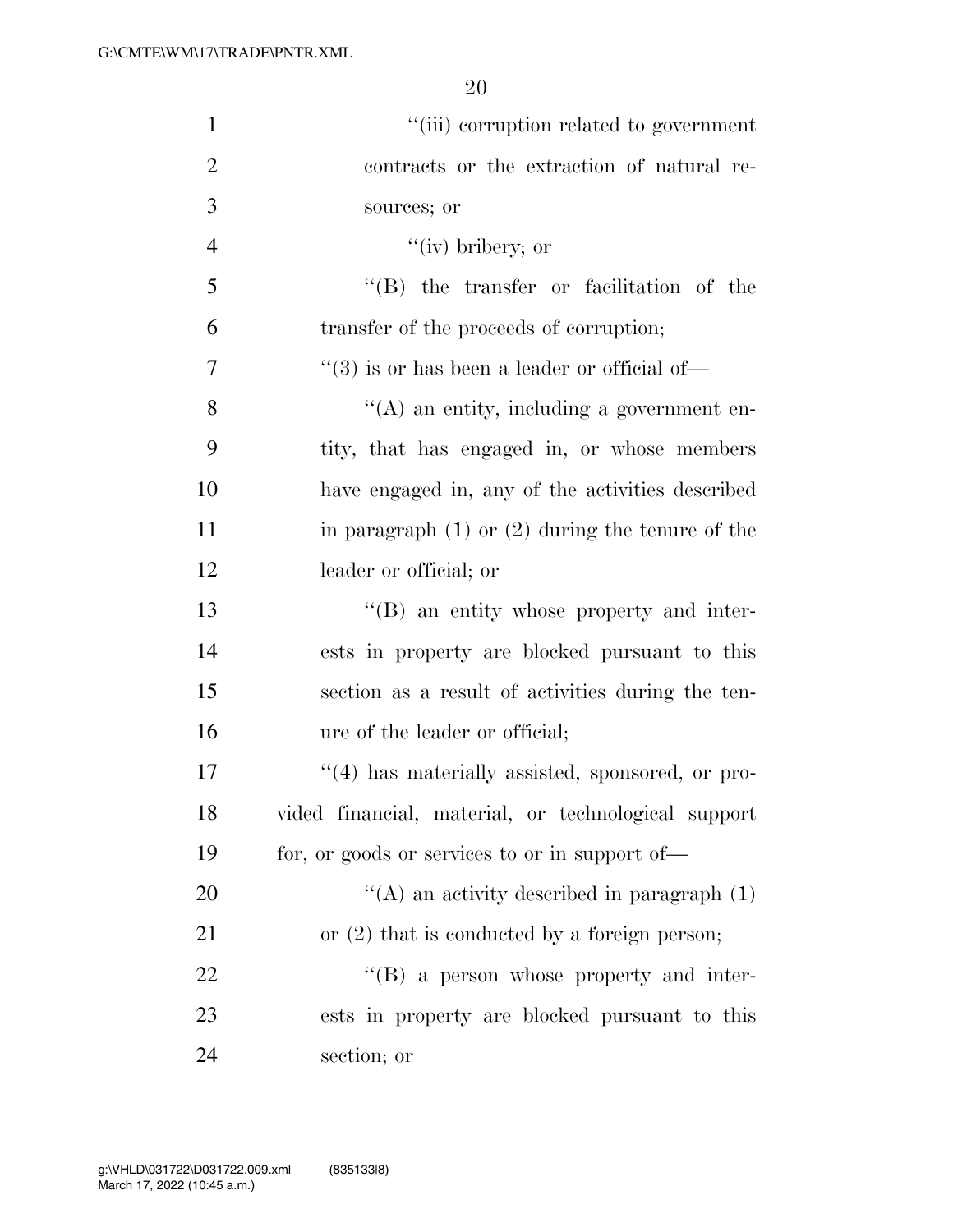| $\mathbf{1}$   | "(iii) corruption related to government                  |
|----------------|----------------------------------------------------------|
| $\overline{2}$ | contracts or the extraction of natural re-               |
| 3              | sources; or                                              |
| $\overline{4}$ | $``(iv)$ bribery; or                                     |
| 5              | "(B) the transfer or facilitation of the                 |
| 6              | transfer of the proceeds of corruption;                  |
| 7              | $\cdot\cdot$ (3) is or has been a leader or official of— |
| 8              | $\lq\lq$ an entity, including a government en-           |
| 9              | tity, that has engaged in, or whose members              |
| 10             | have engaged in, any of the activities described         |
| 11             | in paragraph $(1)$ or $(2)$ during the tenure of the     |
| 12             | leader or official; or                                   |
| 13             | $\lq\lq (B)$ an entity whose property and inter-         |
| 14             | ests in property are blocked pursuant to this            |
| 15             | section as a result of activities during the ten-        |
| 16             | ure of the leader or official;                           |
| 17             | $\lq(4)$ has materially assisted, sponsored, or pro-     |
| 18             | vided financial, material, or technological support      |
| 19             | for, or goods or services to or in support of—           |
| 20             | $\lq\lq$ an activity described in paragraph (1)          |
| 21             | or $(2)$ that is conducted by a foreign person;          |
| 22             | $\lq\lq (B)$ a person whose property and inter-          |
| 23             | ests in property are blocked pursuant to this            |
| 24             | section; or                                              |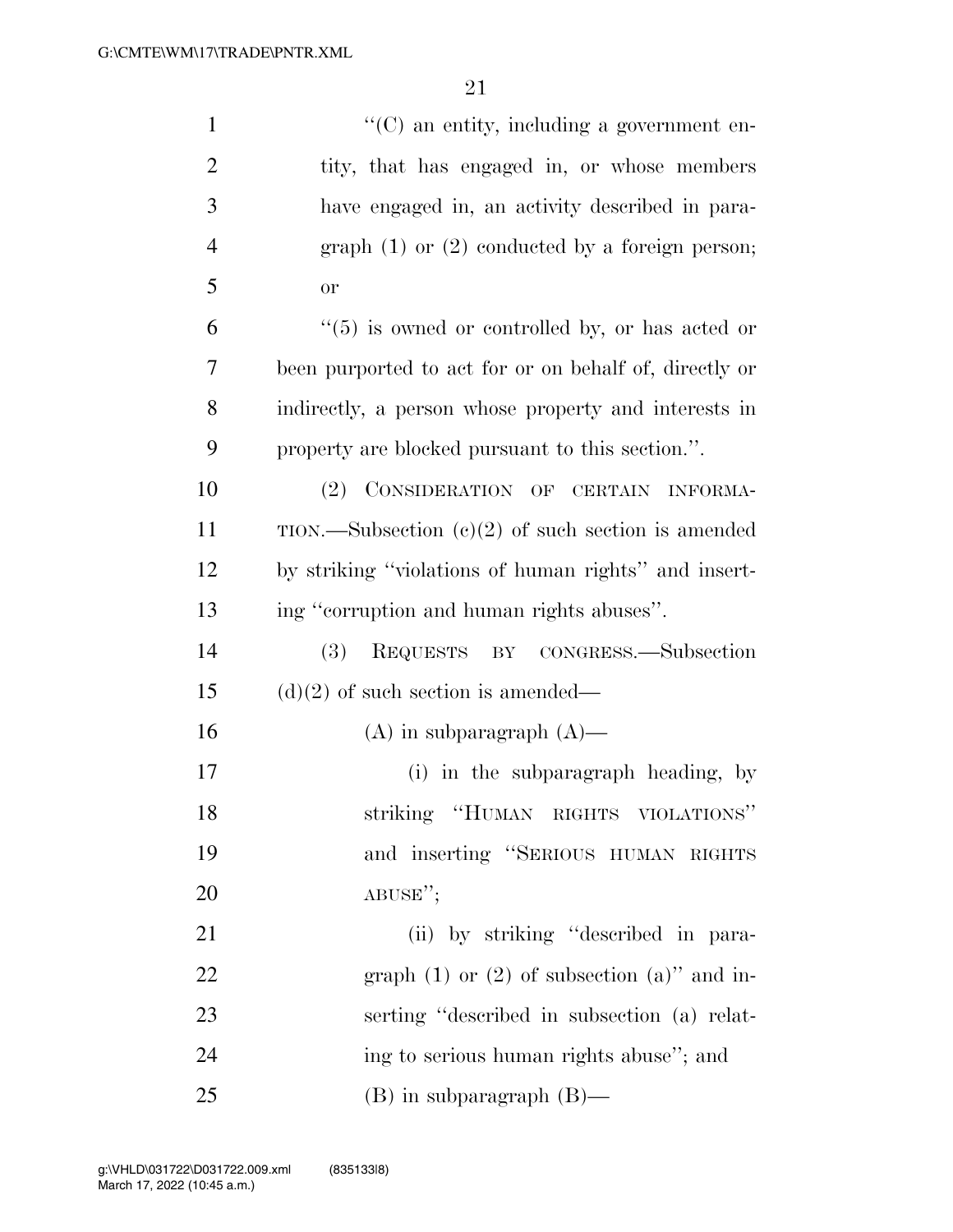| $\mathbf{1}$   | $\lq\lq$ (C) an entity, including a government en-     |
|----------------|--------------------------------------------------------|
| $\overline{2}$ | tity, that has engaged in, or whose members            |
| 3              | have engaged in, an activity described in para-        |
| $\overline{4}$ | graph $(1)$ or $(2)$ conducted by a foreign person;    |
| 5              | or                                                     |
| 6              | $(5)$ is owned or controlled by, or has acted or       |
| 7              | been purported to act for or on behalf of, directly or |
| 8              | indirectly, a person whose property and interests in   |
| 9              | property are blocked pursuant to this section.".       |
| 10             | (2) CONSIDERATION OF CERTAIN INFORMA-                  |
| 11             | TION.—Subsection $(c)(2)$ of such section is amended   |
| 12             | by striking "violations of human rights" and insert-   |
| 13             | ing "corruption and human rights abuses".              |
| 14             | REQUESTS BY CONGRESS.—Subsection<br>(3)                |
| 15             | $(d)(2)$ of such section is amended—                   |
| 16             | $(A)$ in subparagraph $(A)$ —                          |
| 17             | (i) in the subparagraph heading, by                    |
| 18             | striking "HUMAN RIGHTS VIOLATIONS"                     |
| 19             | and inserting "SERIOUS HUMAN RIGHTS                    |
| 20             | ABUSE";                                                |
| 21             | (ii) by striking "described in para-                   |
| 22             | graph $(1)$ or $(2)$ of subsection $(a)$ " and in-     |
| 23             | serting "described in subsection (a) relat-            |
| 24             | ing to serious human rights abuse"; and                |
| 25             | $(B)$ in subparagraph $(B)$ —                          |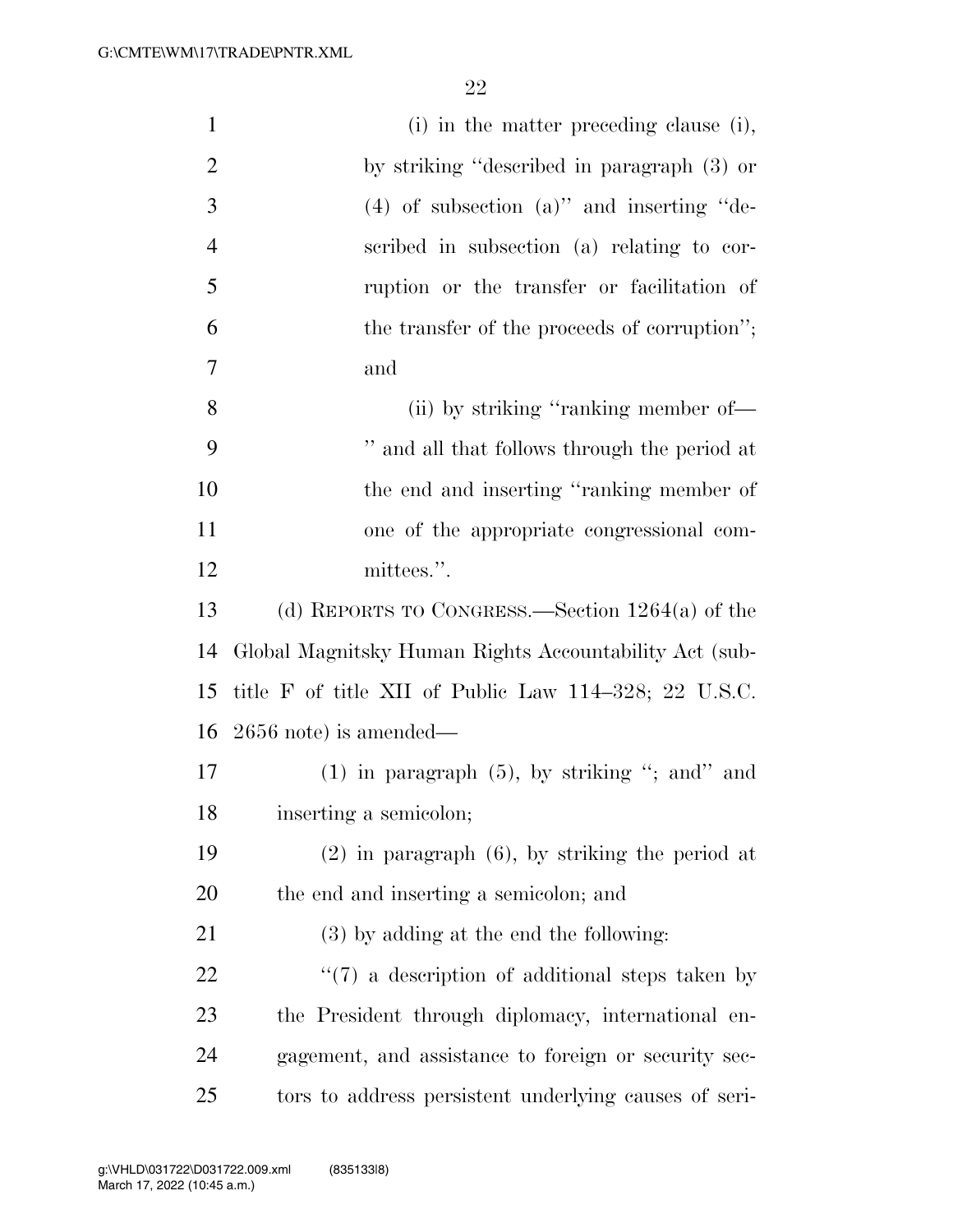| $\mathbf{1}$   | (i) in the matter preceding clause (i),                |
|----------------|--------------------------------------------------------|
| $\overline{2}$ | by striking "described in paragraph (3) or             |
| 3              | $(4)$ of subsection $(a)$ " and inserting "de-         |
| $\overline{4}$ | scribed in subsection (a) relating to cor-             |
| 5              | ruption or the transfer or facilitation of             |
| 6              | the transfer of the proceeds of corruption";           |
| 7              | and                                                    |
| 8              | (ii) by striking "ranking member of-                   |
| 9              | " and all that follows through the period at           |
| 10             | the end and inserting "ranking member of               |
| 11             | one of the appropriate congressional com-              |
| 12             | mittees.".                                             |
| 13             | (d) REPORTS TO CONGRESS.—Section $1264(a)$ of the      |
| 14             | Global Magnitsky Human Rights Accountability Act (sub- |
| 15             | title F of title XII of Public Law 114–328; 22 U.S.C.  |
| 16             | $2656$ note) is amended—                               |
| 17             | $(1)$ in paragraph $(5)$ , by striking "; and" and     |
| 18             | inserting a semicolon;                                 |
| 19             | $(2)$ in paragraph $(6)$ , by striking the period at   |
| 20             | the end and inserting a semicolon; and                 |
| 21             | $(3)$ by adding at the end the following:              |
| 22             | $\lq(7)$ a description of additional steps taken by    |
| 23             | the President through diplomacy, international en-     |
| 24             | gagement, and assistance to foreign or security sec-   |
| 25             | tors to address persistent underlying causes of seri-  |